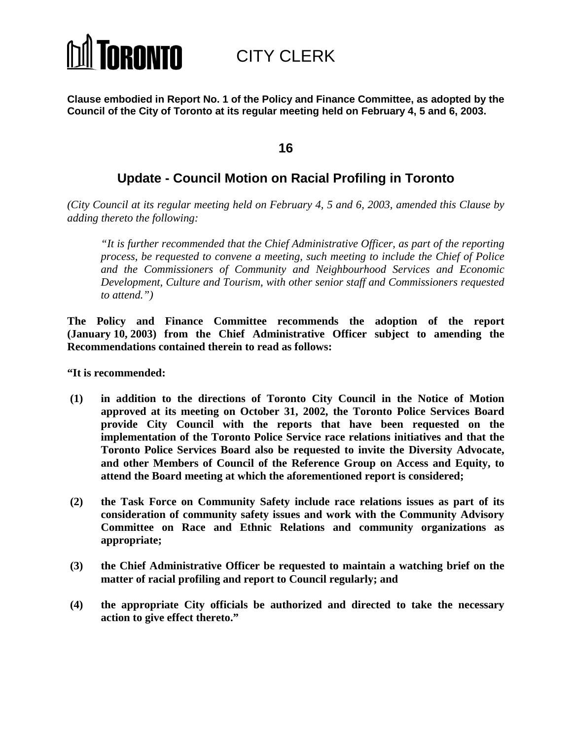# **TORONTO**

CITY CLERK

**Clause embodied in Report No. 1 of the Policy and Finance Committee, as adopted by the Council of the City of Toronto at its regular meeting held on February 4, 5 and 6, 2003.**

# **16**

# **Update - Council Motion on Racial Profiling in Toronto**

*(City Council at its regular meeting held on February 4, 5 and 6, 2003, amended this Clause by adding thereto the following:*

*"It is further recommended that the Chief Administrative Officer, as part of the reporting process, be requested to convene a meeting, such meeting to include the Chief of Police and the Commissioners of Community and Neighbourhood Services and Economic Development, Culture and Tourism, with other senior staff and Commissioners requested to attend.")*

**The Policy and Finance Committee recommends the adoption of the report (January 10, 2003) from the Chief Administrative Officer subject to amending the Recommendations contained therein to read as follows:**

**"It is recommended:**

- **(1) in addition to the directions of Toronto City Council in the Notice of Motion approved at its meeting on October 31, 2002, the Toronto Police Services Board provide City Council with the reports that have been requested on the implementation of the Toronto Police Service race relations initiatives and that the Toronto Police Services Board also be requested to invite the Diversity Advocate, and other Members of Council of the Reference Group on Access and Equity, to attend the Board meeting at which the aforementioned report is considered;**
- **(2) the Task Force on Community Safety include race relations issues as part of its consideration of community safety issues and work with the Community Advisory Committee on Race and Ethnic Relations and community organizations as appropriate;**
- **(3) the Chief Administrative Officer be requested to maintain a watching brief on the matter of racial profiling and report to Council regularly; and**
- **(4) the appropriate City officials be authorized and directed to take the necessary action to give effect thereto."**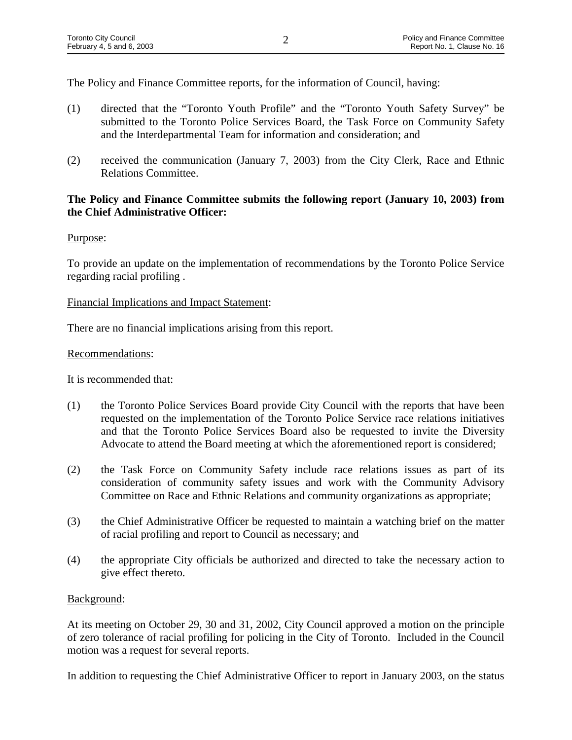The Policy and Finance Committee reports, for the information of Council, having:

- (1) directed that the "Toronto Youth Profile" and the "Toronto Youth Safety Survey" be submitted to the Toronto Police Services Board, the Task Force on Community Safety and the Interdepartmental Team for information and consideration; and
- (2) received the communication (January 7, 2003) from the City Clerk, Race and Ethnic Relations Committee.

# **The Policy and Finance Committee submits the following report (January 10, 2003) from the Chief Administrative Officer:**

# Purpose:

To provide an update on the implementation of recommendations by the Toronto Police Service regarding racial profiling .

# Financial Implications and Impact Statement:

There are no financial implications arising from this report.

# Recommendations:

It is recommended that:

- (1) the Toronto Police Services Board provide City Council with the reports that have been requested on the implementation of the Toronto Police Service race relations initiatives and that the Toronto Police Services Board also be requested to invite the Diversity Advocate to attend the Board meeting at which the aforementioned report is considered;
- (2) the Task Force on Community Safety include race relations issues as part of its consideration of community safety issues and work with the Community Advisory Committee on Race and Ethnic Relations and community organizations as appropriate;
- (3) the Chief Administrative Officer be requested to maintain a watching brief on the matter of racial profiling and report to Council as necessary; and
- (4) the appropriate City officials be authorized and directed to take the necessary action to give effect thereto.

# Background:

At its meeting on October 29, 30 and 31, 2002, City Council approved a motion on the principle of zero tolerance of racial profiling for policing in the City of Toronto. Included in the Council motion was a request for several reports.

In addition to requesting the Chief Administrative Officer to report in January 2003, on the status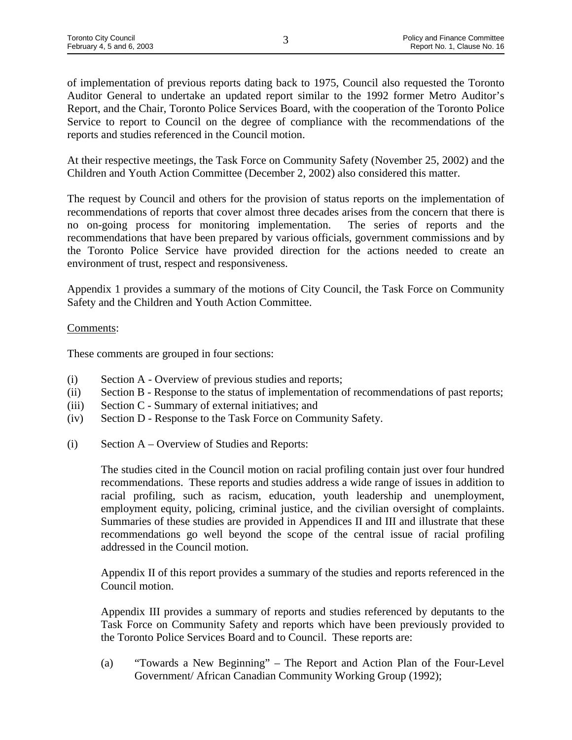of implementation of previous reports dating back to 1975, Council also requested the Toronto Auditor General to undertake an updated report similar to the 1992 former Metro Auditor's Report, and the Chair, Toronto Police Services Board, with the cooperation of the Toronto Police Service to report to Council on the degree of compliance with the recommendations of the reports and studies referenced in the Council motion.

At their respective meetings, the Task Force on Community Safety (November 25, 2002) and the Children and Youth Action Committee (December 2, 2002) also considered this matter.

The request by Council and others for the provision of status reports on the implementation of recommendations of reports that cover almost three decades arises from the concern that there is no on-going process for monitoring implementation. The series of reports and the recommendations that have been prepared by various officials, government commissions and by the Toronto Police Service have provided direction for the actions needed to create an environment of trust, respect and responsiveness.

Appendix 1 provides a summary of the motions of City Council, the Task Force on Community Safety and the Children and Youth Action Committee.

# Comments:

These comments are grouped in four sections:

- (i) Section A Overview of previous studies and reports;
- (ii) Section B Response to the status of implementation of recommendations of past reports;
- (iii) Section C Summary of external initiatives; and
- (iv) Section D Response to the Task Force on Community Safety.
- (i) Section A Overview of Studies and Reports:

The studies cited in the Council motion on racial profiling contain just over four hundred recommendations. These reports and studies address a wide range of issues in addition to racial profiling, such as racism, education, youth leadership and unemployment, employment equity, policing, criminal justice, and the civilian oversight of complaints. Summaries of these studies are provided in Appendices II and III and illustrate that these recommendations go well beyond the scope of the central issue of racial profiling addressed in the Council motion.

Appendix II of this report provides a summary of the studies and reports referenced in the Council motion.

Appendix III provides a summary of reports and studies referenced by deputants to the Task Force on Community Safety and reports which have been previously provided to the Toronto Police Services Board and to Council. These reports are:

(a) "Towards a New Beginning" – The Report and Action Plan of the Four-Level Government/ African Canadian Community Working Group (1992);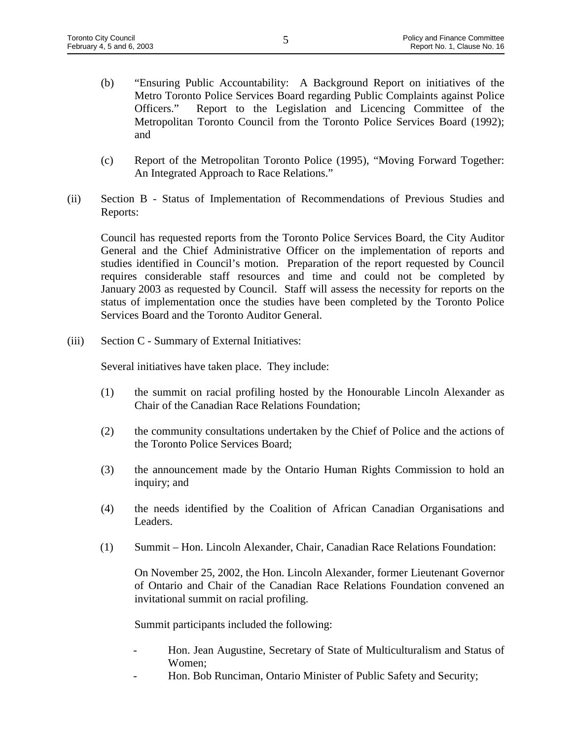- (b) "Ensuring Public Accountability: A Background Report on initiatives of the Metro Toronto Police Services Board regarding Public Complaints against Police Officers." Report to the Legislation and Licencing Committee of the Metropolitan Toronto Council from the Toronto Police Services Board (1992); and
- (c) Report of the Metropolitan Toronto Police (1995), "Moving Forward Together: An Integrated Approach to Race Relations."
- (ii) Section B Status of Implementation of Recommendations of Previous Studies and Reports:

Council has requested reports from the Toronto Police Services Board, the City Auditor General and the Chief Administrative Officer on the implementation of reports and studies identified in Council's motion. Preparation of the report requested by Council requires considerable staff resources and time and could not be completed by January 2003 as requested by Council. Staff will assess the necessity for reports on the status of implementation once the studies have been completed by the Toronto Police Services Board and the Toronto Auditor General.

(iii) Section C - Summary of External Initiatives:

Several initiatives have taken place. They include:

- (1) the summit on racial profiling hosted by the Honourable Lincoln Alexander as Chair of the Canadian Race Relations Foundation;
- (2) the community consultations undertaken by the Chief of Police and the actions of the Toronto Police Services Board;
- (3) the announcement made by the Ontario Human Rights Commission to hold an inquiry; and
- (4) the needs identified by the Coalition of African Canadian Organisations and Leaders.
- (1) Summit Hon. Lincoln Alexander, Chair, Canadian Race Relations Foundation:

On November 25, 2002, the Hon. Lincoln Alexander, former Lieutenant Governor of Ontario and Chair of the Canadian Race Relations Foundation convened an invitational summit on racial profiling.

Summit participants included the following:

- Hon. Jean Augustine, Secretary of State of Multiculturalism and Status of Women;
- Hon. Bob Runciman, Ontario Minister of Public Safety and Security;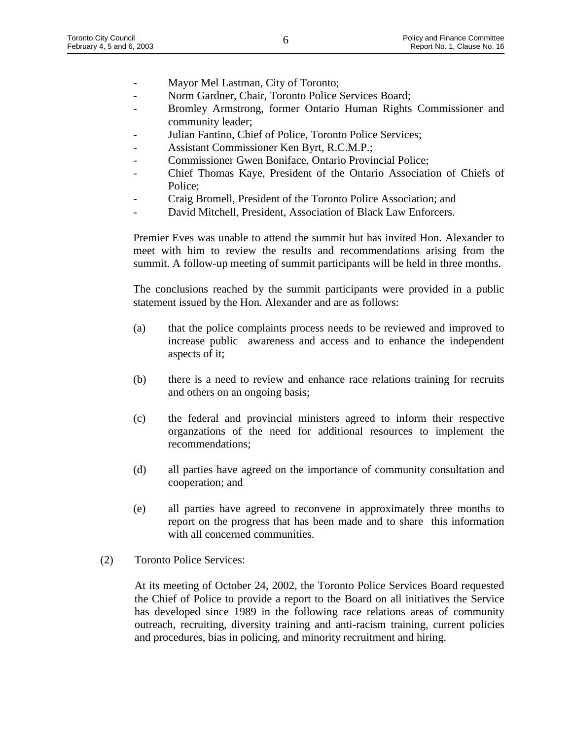- Mayor Mel Lastman, City of Toronto;
- Norm Gardner, Chair, Toronto Police Services Board;
- Bromley Armstrong, former Ontario Human Rights Commissioner and community leader;
- Julian Fantino, Chief of Police, Toronto Police Services;
- Assistant Commissioner Ken Byrt, R.C.M.P.;
- Commissioner Gwen Boniface, Ontario Provincial Police;
- Chief Thomas Kaye, President of the Ontario Association of Chiefs of Police;
- Craig Bromell, President of the Toronto Police Association; and
- David Mitchell, President, Association of Black Law Enforcers.

Premier Eves was unable to attend the summit but has invited Hon. Alexander to meet with him to review the results and recommendations arising from the summit. A follow-up meeting of summit participants will be held in three months.

The conclusions reached by the summit participants were provided in a public statement issued by the Hon. Alexander and are as follows:

- (a) that the police complaints process needs to be reviewed and improved to increase public awareness and access and to enhance the independent aspects of it;
- (b) there is a need to review and enhance race relations training for recruits and others on an ongoing basis;
- (c) the federal and provincial ministers agreed to inform their respective organzations of the need for additional resources to implement the recommendations;
- (d) all parties have agreed on the importance of community consultation and cooperation; and
- (e) all parties have agreed to reconvene in approximately three months to report on the progress that has been made and to share this information with all concerned communities.
- (2) Toronto Police Services:

At its meeting of October 24, 2002, the Toronto Police Services Board requested the Chief of Police to provide a report to the Board on all initiatives the Service has developed since 1989 in the following race relations areas of community outreach, recruiting, diversity training and anti-racism training, current policies and procedures, bias in policing, and minority recruitment and hiring.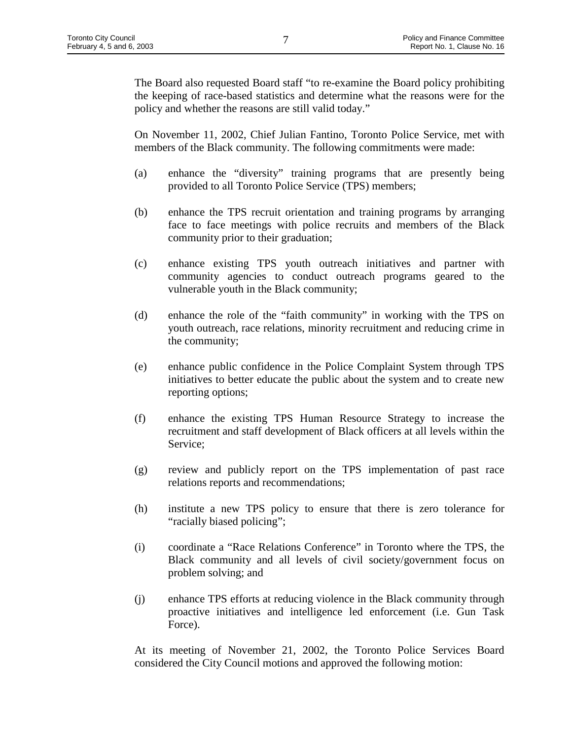The Board also requested Board staff "to re-examine the Board policy prohibiting the keeping of race-based statistics and determine what the reasons were for the policy and whether the reasons are still valid today."

On November 11, 2002, Chief Julian Fantino, Toronto Police Service, met with members of the Black community. The following commitments were made:

- (a) enhance the "diversity" training programs that are presently being provided to all Toronto Police Service (TPS) members;
- (b) enhance the TPS recruit orientation and training programs by arranging face to face meetings with police recruits and members of the Black community prior to their graduation;
- (c) enhance existing TPS youth outreach initiatives and partner with community agencies to conduct outreach programs geared to the vulnerable youth in the Black community;
- (d) enhance the role of the "faith community" in working with the TPS on youth outreach, race relations, minority recruitment and reducing crime in the community;
- (e) enhance public confidence in the Police Complaint System through TPS initiatives to better educate the public about the system and to create new reporting options;
- (f) enhance the existing TPS Human Resource Strategy to increase the recruitment and staff development of Black officers at all levels within the Service;
- (g) review and publicly report on the TPS implementation of past race relations reports and recommendations;
- (h) institute a new TPS policy to ensure that there is zero tolerance for "racially biased policing";
- (i) coordinate a "Race Relations Conference" in Toronto where the TPS, the Black community and all levels of civil society/government focus on problem solving; and
- (j) enhance TPS efforts at reducing violence in the Black community through proactive initiatives and intelligence led enforcement (i.e. Gun Task Force).

At its meeting of November 21, 2002, the Toronto Police Services Board considered the City Council motions and approved the following motion: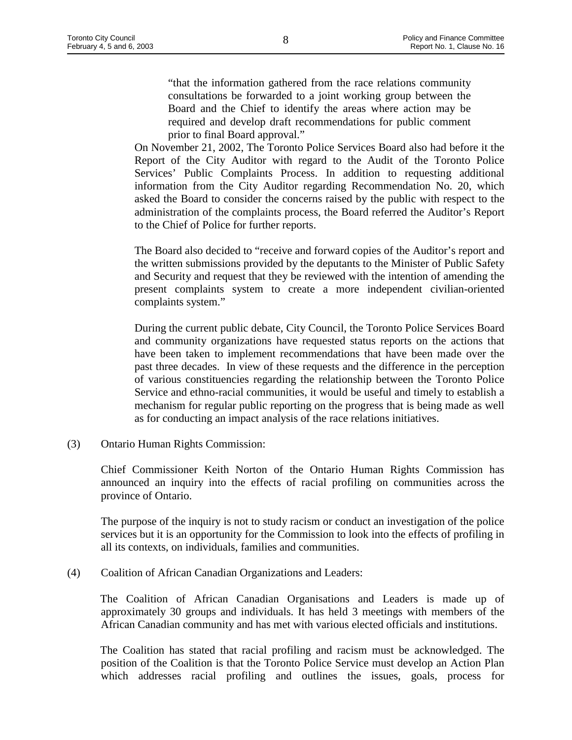"that the information gathered from the race relations community consultations be forwarded to a joint working group between the Board and the Chief to identify the areas where action may be required and develop draft recommendations for public comment prior to final Board approval."

On November 21, 2002, The Toronto Police Services Board also had before it the Report of the City Auditor with regard to the Audit of the Toronto Police Services' Public Complaints Process. In addition to requesting additional information from the City Auditor regarding Recommendation No. 20, which asked the Board to consider the concerns raised by the public with respect to the administration of the complaints process, the Board referred the Auditor's Report to the Chief of Police for further reports.

The Board also decided to "receive and forward copies of the Auditor's report and the written submissions provided by the deputants to the Minister of Public Safety and Security and request that they be reviewed with the intention of amending the present complaints system to create a more independent civilian-oriented complaints system."

During the current public debate, City Council, the Toronto Police Services Board and community organizations have requested status reports on the actions that have been taken to implement recommendations that have been made over the past three decades. In view of these requests and the difference in the perception of various constituencies regarding the relationship between the Toronto Police Service and ethno-racial communities, it would be useful and timely to establish a mechanism for regular public reporting on the progress that is being made as well as for conducting an impact analysis of the race relations initiatives.

(3) Ontario Human Rights Commission:

Chief Commissioner Keith Norton of the Ontario Human Rights Commission has announced an inquiry into the effects of racial profiling on communities across the province of Ontario.

The purpose of the inquiry is not to study racism or conduct an investigation of the police services but it is an opportunity for the Commission to look into the effects of profiling in all its contexts, on individuals, families and communities.

(4) Coalition of African Canadian Organizations and Leaders:

The Coalition of African Canadian Organisations and Leaders is made up of approximately 30 groups and individuals. It has held 3 meetings with members of the African Canadian community and has met with various elected officials and institutions.

The Coalition has stated that racial profiling and racism must be acknowledged. The position of the Coalition is that the Toronto Police Service must develop an Action Plan which addresses racial profiling and outlines the issues, goals, process for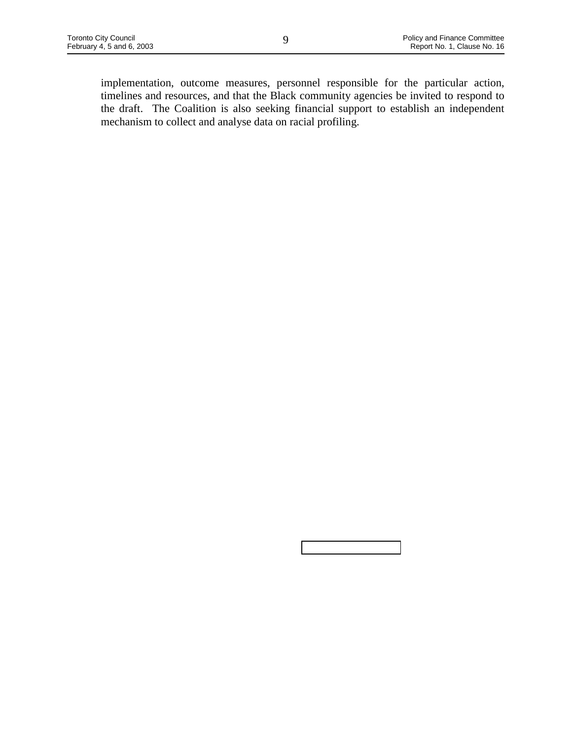implementation, outcome measures, personnel responsible for the particular action, timelines and resources, and that the Black community agencies be invited to respond to the draft. The Coalition is also seeking financial support to establish an independent mechanism to collect and analyse data on racial profiling.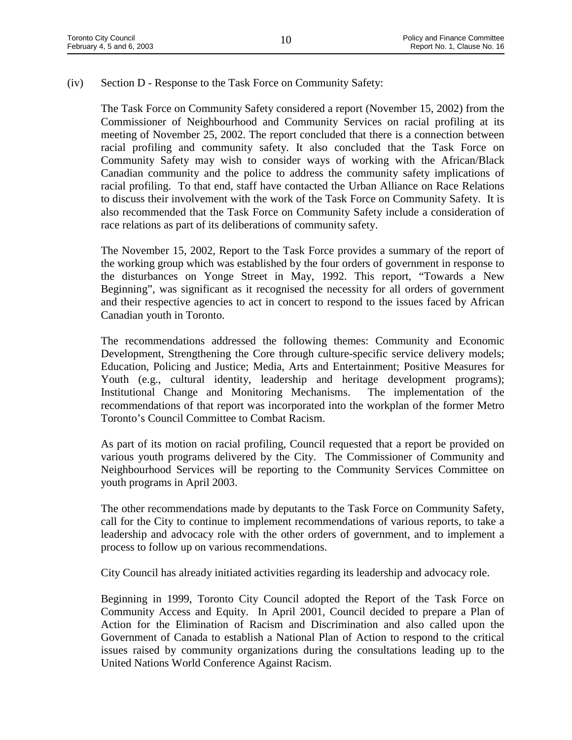#### (iv) Section D - Response to the Task Force on Community Safety:

The Task Force on Community Safety considered a report (November 15, 2002) from the Commissioner of Neighbourhood and Community Services on racial profiling at its meeting of November 25, 2002. The report concluded that there is a connection between racial profiling and community safety. It also concluded that the Task Force on Community Safety may wish to consider ways of working with the African/Black Canadian community and the police to address the community safety implications of racial profiling. To that end, staff have contacted the Urban Alliance on Race Relations to discuss their involvement with the work of the Task Force on Community Safety. It is also recommended that the Task Force on Community Safety include a consideration of race relations as part of its deliberations of community safety.

The November 15, 2002, Report to the Task Force provides a summary of the report of the working group which was established by the four orders of government in response to the disturbances on Yonge Street in May, 1992. This report, "Towards a New Beginning", was significant as it recognised the necessity for all orders of government and their respective agencies to act in concert to respond to the issues faced by African Canadian youth in Toronto.

The recommendations addressed the following themes: Community and Economic Development, Strengthening the Core through culture-specific service delivery models; Education, Policing and Justice; Media, Arts and Entertainment; Positive Measures for Youth (e.g., cultural identity, leadership and heritage development programs); Institutional Change and Monitoring Mechanisms. The implementation of the recommendations of that report was incorporated into the workplan of the former Metro Toronto's Council Committee to Combat Racism.

As part of its motion on racial profiling, Council requested that a report be provided on various youth programs delivered by the City. The Commissioner of Community and Neighbourhood Services will be reporting to the Community Services Committee on youth programs in April 2003.

The other recommendations made by deputants to the Task Force on Community Safety, call for the City to continue to implement recommendations of various reports, to take a leadership and advocacy role with the other orders of government, and to implement a process to follow up on various recommendations.

City Council has already initiated activities regarding its leadership and advocacy role.

Beginning in 1999, Toronto City Council adopted the Report of the Task Force on Community Access and Equity. In April 2001, Council decided to prepare a Plan of Action for the Elimination of Racism and Discrimination and also called upon the Government of Canada to establish a National Plan of Action to respond to the critical issues raised by community organizations during the consultations leading up to the United Nations World Conference Against Racism.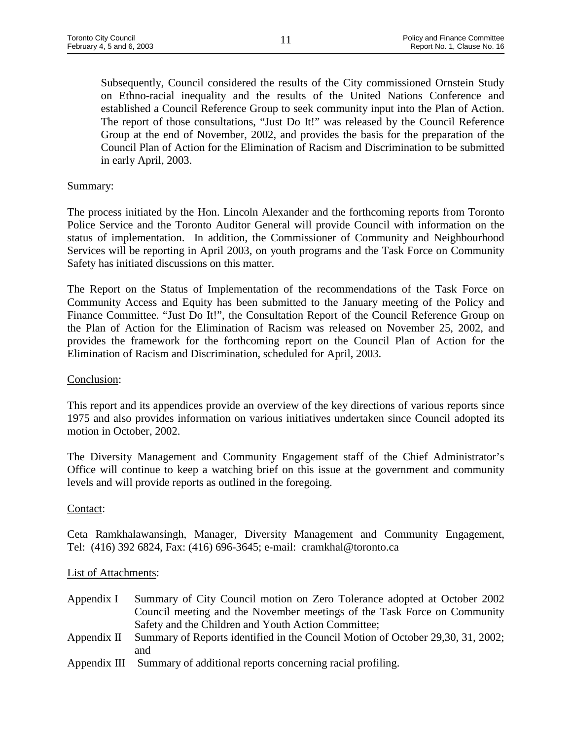Subsequently, Council considered the results of the City commissioned Ornstein Study on Ethno-racial inequality and the results of the United Nations Conference and established a Council Reference Group to seek community input into the Plan of Action. The report of those consultations, "Just Do It!" was released by the Council Reference Group at the end of November, 2002, and provides the basis for the preparation of the Council Plan of Action for the Elimination of Racism and Discrimination to be submitted in early April, 2003.

# Summary:

The process initiated by the Hon. Lincoln Alexander and the forthcoming reports from Toronto Police Service and the Toronto Auditor General will provide Council with information on the status of implementation. In addition, the Commissioner of Community and Neighbourhood Services will be reporting in April 2003, on youth programs and the Task Force on Community Safety has initiated discussions on this matter.

The Report on the Status of Implementation of the recommendations of the Task Force on Community Access and Equity has been submitted to the January meeting of the Policy and Finance Committee. "Just Do It!", the Consultation Report of the Council Reference Group on the Plan of Action for the Elimination of Racism was released on November 25, 2002, and provides the framework for the forthcoming report on the Council Plan of Action for the Elimination of Racism and Discrimination, scheduled for April, 2003.

#### Conclusion:

This report and its appendices provide an overview of the key directions of various reports since 1975 and also provides information on various initiatives undertaken since Council adopted its motion in October, 2002.

The Diversity Management and Community Engagement staff of the Chief Administrator's Office will continue to keep a watching brief on this issue at the government and community levels and will provide reports as outlined in the foregoing.

#### Contact:

Ceta Ramkhalawansingh, Manager, Diversity Management and Community Engagement, Tel: (416) 392 6824, Fax: (416) 696-3645; e-mail: cramkhal@toronto.ca

#### List of Attachments:

- Appendix I Summary of City Council motion on Zero Tolerance adopted at October 2002 Council meeting and the November meetings of the Task Force on Community Safety and the Children and Youth Action Committee;
- Appendix II Summary of Reports identified in the Council Motion of October 29,30, 31, 2002; and
- Appendix III Summary of additional reports concerning racial profiling.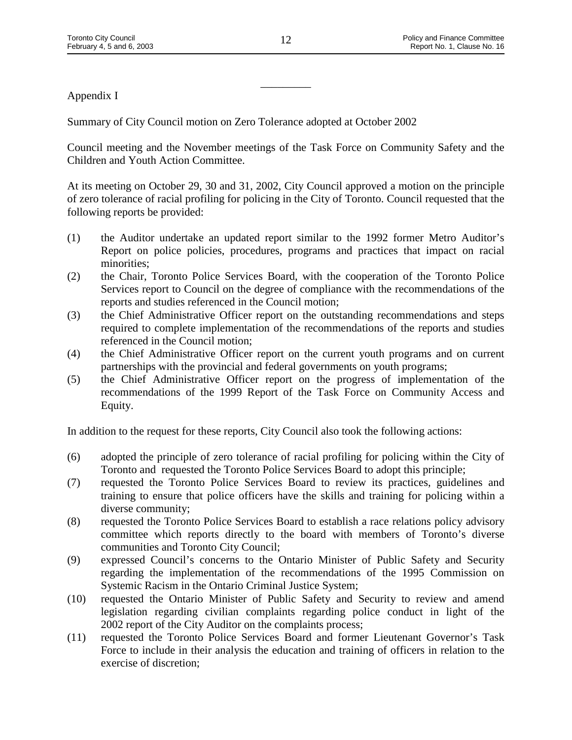Appendix I

Summary of City Council motion on Zero Tolerance adopted at October 2002

Council meeting and the November meetings of the Task Force on Community Safety and the Children and Youth Action Committee.

At its meeting on October 29, 30 and 31, 2002, City Council approved a motion on the principle of zero tolerance of racial profiling for policing in the City of Toronto. Council requested that the following reports be provided:

- (1) the Auditor undertake an updated report similar to the 1992 former Metro Auditor's Report on police policies, procedures, programs and practices that impact on racial minorities;
- (2) the Chair, Toronto Police Services Board, with the cooperation of the Toronto Police Services report to Council on the degree of compliance with the recommendations of the reports and studies referenced in the Council motion;
- (3) the Chief Administrative Officer report on the outstanding recommendations and steps required to complete implementation of the recommendations of the reports and studies referenced in the Council motion;
- (4) the Chief Administrative Officer report on the current youth programs and on current partnerships with the provincial and federal governments on youth programs;
- (5) the Chief Administrative Officer report on the progress of implementation of the recommendations of the 1999 Report of the Task Force on Community Access and Equity.

In addition to the request for these reports, City Council also took the following actions:

- (6) adopted the principle of zero tolerance of racial profiling for policing within the City of Toronto and requested the Toronto Police Services Board to adopt this principle;
- (7) requested the Toronto Police Services Board to review its practices, guidelines and training to ensure that police officers have the skills and training for policing within a diverse community;
- (8) requested the Toronto Police Services Board to establish a race relations policy advisory committee which reports directly to the board with members of Toronto's diverse communities and Toronto City Council;
- (9) expressed Council's concerns to the Ontario Minister of Public Safety and Security regarding the implementation of the recommendations of the 1995 Commission on Systemic Racism in the Ontario Criminal Justice System;
- (10) requested the Ontario Minister of Public Safety and Security to review and amend legislation regarding civilian complaints regarding police conduct in light of the 2002 report of the City Auditor on the complaints process;
- (11) requested the Toronto Police Services Board and former Lieutenant Governor's Task Force to include in their analysis the education and training of officers in relation to the exercise of discretion;

\_\_\_\_\_\_\_\_\_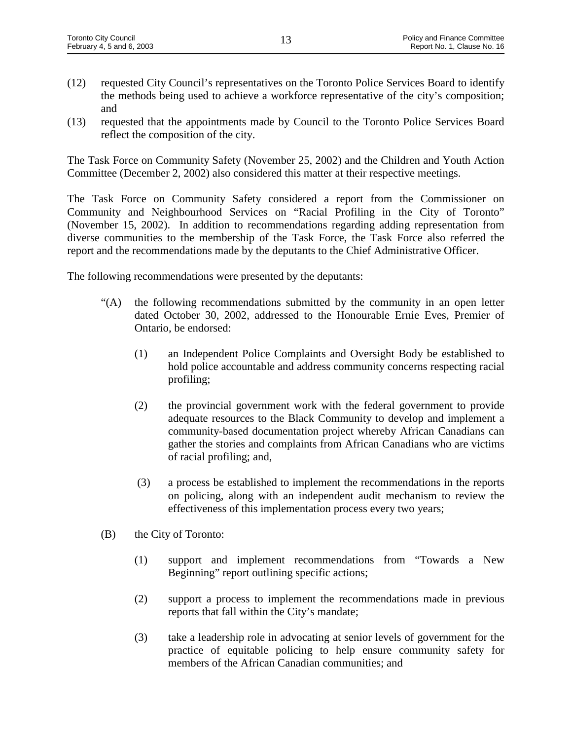- (12) requested City Council's representatives on the Toronto Police Services Board to identify the methods being used to achieve a workforce representative of the city's composition; and
- (13) requested that the appointments made by Council to the Toronto Police Services Board reflect the composition of the city.

The Task Force on Community Safety (November 25, 2002) and the Children and Youth Action Committee (December 2, 2002) also considered this matter at their respective meetings.

The Task Force on Community Safety considered a report from the Commissioner on Community and Neighbourhood Services on "Racial Profiling in the City of Toronto" (November 15, 2002). In addition to recommendations regarding adding representation from diverse communities to the membership of the Task Force, the Task Force also referred the report and the recommendations made by the deputants to the Chief Administrative Officer.

The following recommendations were presented by the deputants:

- "(A) the following recommendations submitted by the community in an open letter dated October 30, 2002, addressed to the Honourable Ernie Eves, Premier of Ontario, be endorsed:
	- (1) an Independent Police Complaints and Oversight Body be established to hold police accountable and address community concerns respecting racial profiling;
	- (2) the provincial government work with the federal government to provide adequate resources to the Black Community to develop and implement a community-based documentation project whereby African Canadians can gather the stories and complaints from African Canadians who are victims of racial profiling; and,
	- (3) a process be established to implement the recommendations in the reports on policing, along with an independent audit mechanism to review the effectiveness of this implementation process every two years;
- (B) the City of Toronto:
	- (1) support and implement recommendations from "Towards a New Beginning" report outlining specific actions;
	- (2) support a process to implement the recommendations made in previous reports that fall within the City's mandate;
	- (3) take a leadership role in advocating at senior levels of government for the practice of equitable policing to help ensure community safety for members of the African Canadian communities; and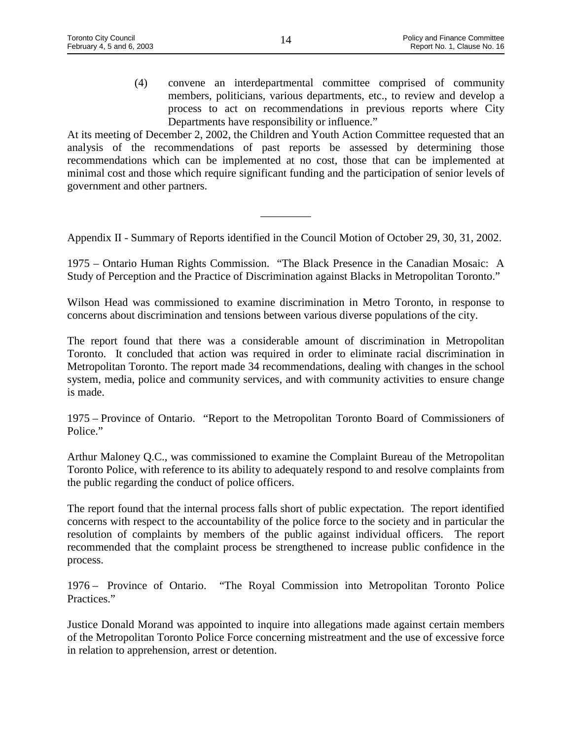(4) convene an interdepartmental committee comprised of community members, politicians, various departments, etc., to review and develop a process to act on recommendations in previous reports where City Departments have responsibility or influence."

At its meeting of December 2, 2002, the Children and Youth Action Committee requested that an analysis of the recommendations of past reports be assessed by determining those recommendations which can be implemented at no cost, those that can be implemented at minimal cost and those which require significant funding and the participation of senior levels of government and other partners.

Appendix II - Summary of Reports identified in the Council Motion of October 29, 30, 31, 2002.

\_\_\_\_\_\_\_\_\_

1975 – Ontario Human Rights Commission. "The Black Presence in the Canadian Mosaic: A Study of Perception and the Practice of Discrimination against Blacks in Metropolitan Toronto."

Wilson Head was commissioned to examine discrimination in Metro Toronto, in response to concerns about discrimination and tensions between various diverse populations of the city.

The report found that there was a considerable amount of discrimination in Metropolitan Toronto. It concluded that action was required in order to eliminate racial discrimination in Metropolitan Toronto. The report made 34 recommendations, dealing with changes in the school system, media, police and community services, and with community activities to ensure change is made.

1975 – Province of Ontario. "Report to the Metropolitan Toronto Board of Commissioners of Police."

Arthur Maloney Q.C., was commissioned to examine the Complaint Bureau of the Metropolitan Toronto Police, with reference to its ability to adequately respond to and resolve complaints from the public regarding the conduct of police officers.

The report found that the internal process falls short of public expectation. The report identified concerns with respect to the accountability of the police force to the society and in particular the resolution of complaints by members of the public against individual officers. The report recommended that the complaint process be strengthened to increase public confidence in the process.

1976 – Province of Ontario. "The Royal Commission into Metropolitan Toronto Police Practices."

Justice Donald Morand was appointed to inquire into allegations made against certain members of the Metropolitan Toronto Police Force concerning mistreatment and the use of excessive force in relation to apprehension, arrest or detention.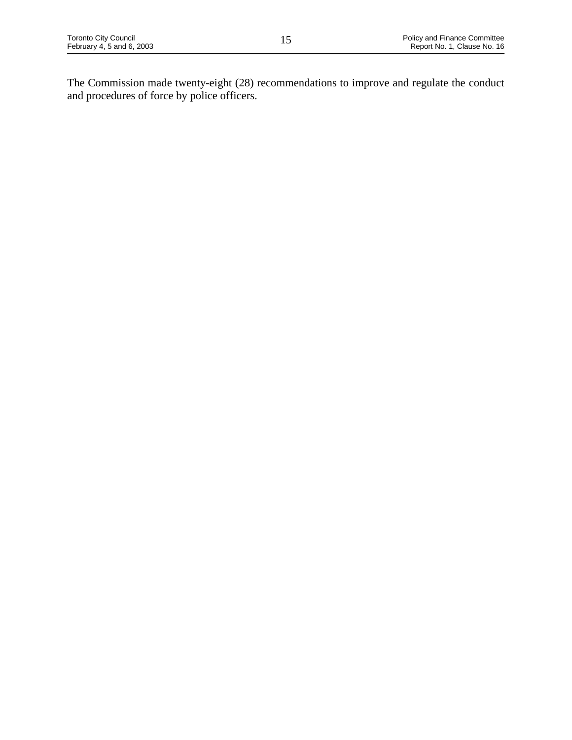The Commission made twenty-eight (28) recommendations to improve and regulate the conduct and procedures of force by police officers.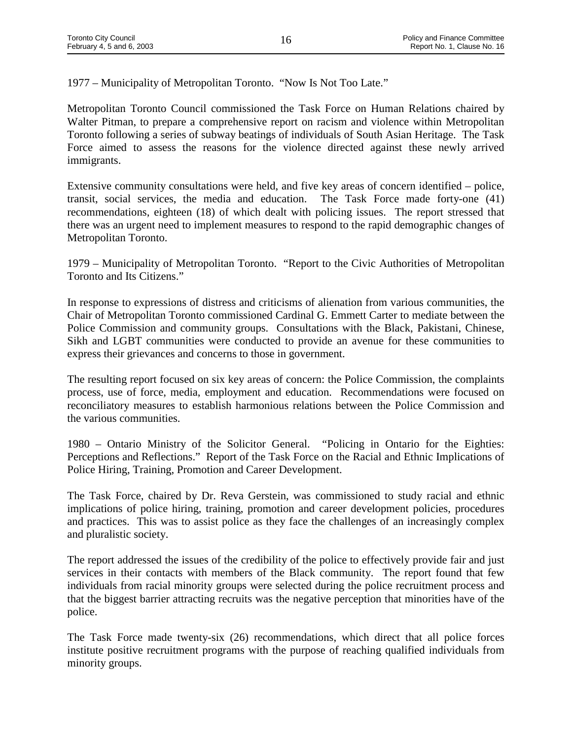1977 – Municipality of Metropolitan Toronto. "Now Is Not Too Late."

Metropolitan Toronto Council commissioned the Task Force on Human Relations chaired by Walter Pitman, to prepare a comprehensive report on racism and violence within Metropolitan Toronto following a series of subway beatings of individuals of South Asian Heritage. The Task Force aimed to assess the reasons for the violence directed against these newly arrived immigrants.

Extensive community consultations were held, and five key areas of concern identified – police, transit, social services, the media and education. The Task Force made forty-one (41) recommendations, eighteen (18) of which dealt with policing issues. The report stressed that there was an urgent need to implement measures to respond to the rapid demographic changes of Metropolitan Toronto.

1979 – Municipality of Metropolitan Toronto. "Report to the Civic Authorities of Metropolitan Toronto and Its Citizens."

In response to expressions of distress and criticisms of alienation from various communities, the Chair of Metropolitan Toronto commissioned Cardinal G. Emmett Carter to mediate between the Police Commission and community groups. Consultations with the Black, Pakistani, Chinese, Sikh and LGBT communities were conducted to provide an avenue for these communities to express their grievances and concerns to those in government.

The resulting report focused on six key areas of concern: the Police Commission, the complaints process, use of force, media, employment and education. Recommendations were focused on reconciliatory measures to establish harmonious relations between the Police Commission and the various communities.

1980 – Ontario Ministry of the Solicitor General. "Policing in Ontario for the Eighties: Perceptions and Reflections." Report of the Task Force on the Racial and Ethnic Implications of Police Hiring, Training, Promotion and Career Development.

The Task Force, chaired by Dr. Reva Gerstein, was commissioned to study racial and ethnic implications of police hiring, training, promotion and career development policies, procedures and practices. This was to assist police as they face the challenges of an increasingly complex and pluralistic society.

The report addressed the issues of the credibility of the police to effectively provide fair and just services in their contacts with members of the Black community. The report found that few individuals from racial minority groups were selected during the police recruitment process and that the biggest barrier attracting recruits was the negative perception that minorities have of the police.

The Task Force made twenty-six (26) recommendations, which direct that all police forces institute positive recruitment programs with the purpose of reaching qualified individuals from minority groups.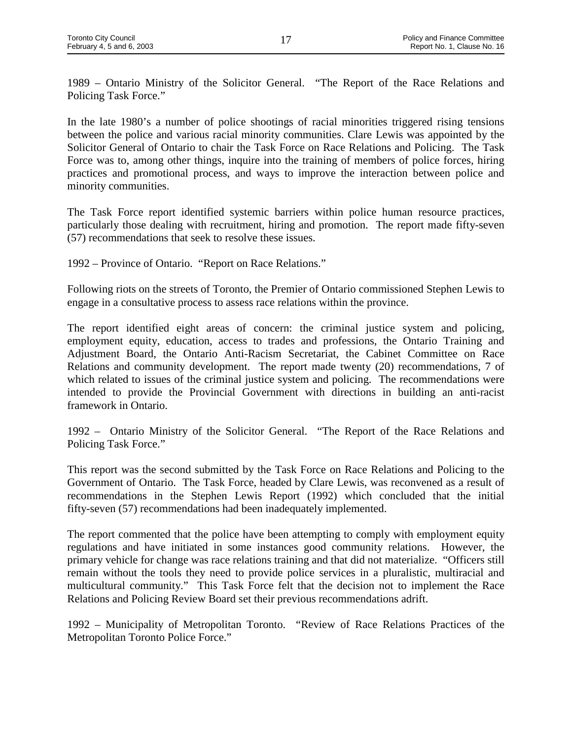1989 – Ontario Ministry of the Solicitor General. "The Report of the Race Relations and Policing Task Force."

In the late 1980's a number of police shootings of racial minorities triggered rising tensions between the police and various racial minority communities. Clare Lewis was appointed by the Solicitor General of Ontario to chair the Task Force on Race Relations and Policing. The Task Force was to, among other things, inquire into the training of members of police forces, hiring practices and promotional process, and ways to improve the interaction between police and minority communities.

The Task Force report identified systemic barriers within police human resource practices, particularly those dealing with recruitment, hiring and promotion. The report made fifty-seven (57) recommendations that seek to resolve these issues.

1992 – Province of Ontario. "Report on Race Relations."

Following riots on the streets of Toronto, the Premier of Ontario commissioned Stephen Lewis to engage in a consultative process to assess race relations within the province.

The report identified eight areas of concern: the criminal justice system and policing, employment equity, education, access to trades and professions, the Ontario Training and Adjustment Board, the Ontario Anti-Racism Secretariat, the Cabinet Committee on Race Relations and community development. The report made twenty (20) recommendations, 7 of which related to issues of the criminal justice system and policing. The recommendations were intended to provide the Provincial Government with directions in building an anti-racist framework in Ontario.

1992 – Ontario Ministry of the Solicitor General. "The Report of the Race Relations and Policing Task Force."

This report was the second submitted by the Task Force on Race Relations and Policing to the Government of Ontario. The Task Force, headed by Clare Lewis, was reconvened as a result of recommendations in the Stephen Lewis Report (1992) which concluded that the initial fifty-seven (57) recommendations had been inadequately implemented.

The report commented that the police have been attempting to comply with employment equity regulations and have initiated in some instances good community relations. However, the primary vehicle for change was race relations training and that did not materialize. "Officers still remain without the tools they need to provide police services in a pluralistic, multiracial and multicultural community." This Task Force felt that the decision not to implement the Race Relations and Policing Review Board set their previous recommendations adrift.

1992 – Municipality of Metropolitan Toronto. "Review of Race Relations Practices of the Metropolitan Toronto Police Force."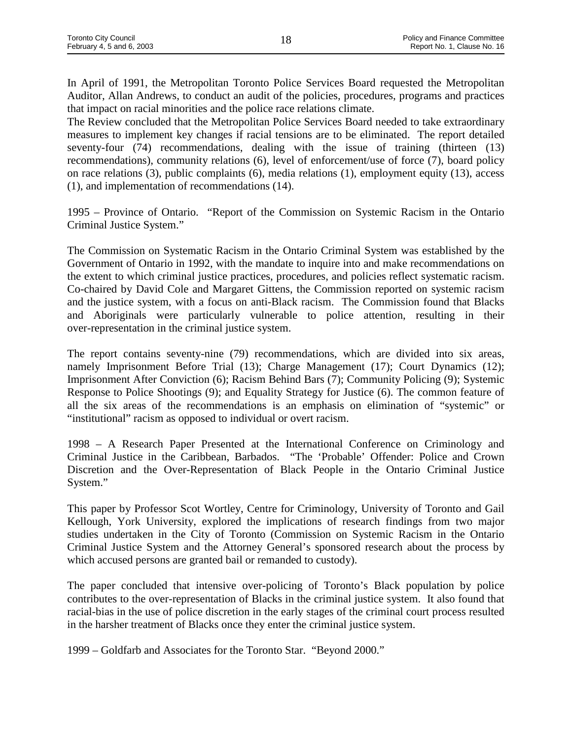In April of 1991, the Metropolitan Toronto Police Services Board requested the Metropolitan Auditor, Allan Andrews, to conduct an audit of the policies, procedures, programs and practices that impact on racial minorities and the police race relations climate.

The Review concluded that the Metropolitan Police Services Board needed to take extraordinary measures to implement key changes if racial tensions are to be eliminated. The report detailed seventy-four (74) recommendations, dealing with the issue of training (thirteen (13) recommendations), community relations (6), level of enforcement/use of force (7), board policy on race relations (3), public complaints (6), media relations (1), employment equity (13), access (1), and implementation of recommendations (14).

1995 – Province of Ontario. "Report of the Commission on Systemic Racism in the Ontario Criminal Justice System."

The Commission on Systematic Racism in the Ontario Criminal System was established by the Government of Ontario in 1992, with the mandate to inquire into and make recommendations on the extent to which criminal justice practices, procedures, and policies reflect systematic racism. Co-chaired by David Cole and Margaret Gittens, the Commission reported on systemic racism and the justice system, with a focus on anti-Black racism. The Commission found that Blacks and Aboriginals were particularly vulnerable to police attention, resulting in their over-representation in the criminal justice system.

The report contains seventy-nine (79) recommendations, which are divided into six areas, namely Imprisonment Before Trial (13); Charge Management (17); Court Dynamics (12); Imprisonment After Conviction (6); Racism Behind Bars (7); Community Policing (9); Systemic Response to Police Shootings (9); and Equality Strategy for Justice (6). The common feature of all the six areas of the recommendations is an emphasis on elimination of "systemic" or "institutional" racism as opposed to individual or overt racism.

1998 – A Research Paper Presented at the International Conference on Criminology and Criminal Justice in the Caribbean, Barbados. "The 'Probable' Offender: Police and Crown Discretion and the Over-Representation of Black People in the Ontario Criminal Justice System."

This paper by Professor Scot Wortley, Centre for Criminology, University of Toronto and Gail Kellough, York University, explored the implications of research findings from two major studies undertaken in the City of Toronto (Commission on Systemic Racism in the Ontario Criminal Justice System and the Attorney General's sponsored research about the process by which accused persons are granted bail or remanded to custody).

The paper concluded that intensive over-policing of Toronto's Black population by police contributes to the over-representation of Blacks in the criminal justice system. It also found that racial-bias in the use of police discretion in the early stages of the criminal court process resulted in the harsher treatment of Blacks once they enter the criminal justice system.

1999 – Goldfarb and Associates for the Toronto Star. "Beyond 2000."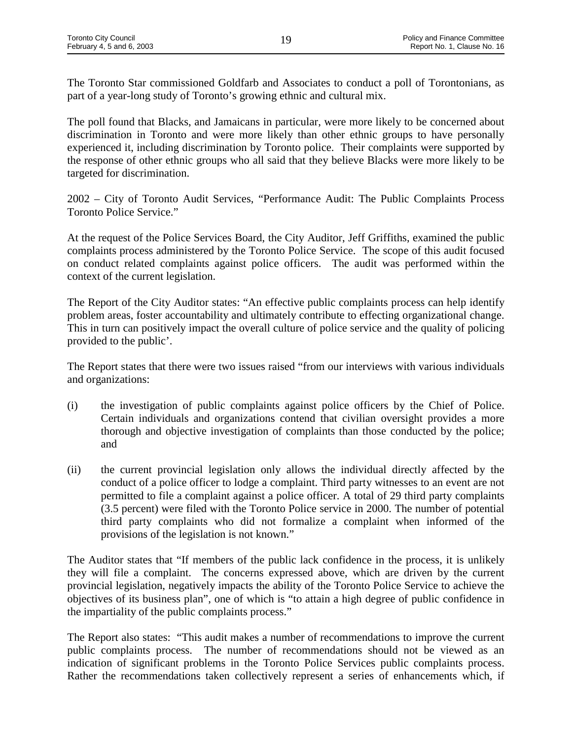The Toronto Star commissioned Goldfarb and Associates to conduct a poll of Torontonians, as part of a year-long study of Toronto's growing ethnic and cultural mix.

The poll found that Blacks, and Jamaicans in particular, were more likely to be concerned about discrimination in Toronto and were more likely than other ethnic groups to have personally experienced it, including discrimination by Toronto police. Their complaints were supported by the response of other ethnic groups who all said that they believe Blacks were more likely to be targeted for discrimination.

2002 – City of Toronto Audit Services, "Performance Audit: The Public Complaints Process Toronto Police Service."

At the request of the Police Services Board, the City Auditor, Jeff Griffiths, examined the public complaints process administered by the Toronto Police Service. The scope of this audit focused on conduct related complaints against police officers. The audit was performed within the context of the current legislation.

The Report of the City Auditor states: "An effective public complaints process can help identify problem areas, foster accountability and ultimately contribute to effecting organizational change. This in turn can positively impact the overall culture of police service and the quality of policing provided to the public'.

The Report states that there were two issues raised "from our interviews with various individuals and organizations:

- (i) the investigation of public complaints against police officers by the Chief of Police. Certain individuals and organizations contend that civilian oversight provides a more thorough and objective investigation of complaints than those conducted by the police; and
- (ii) the current provincial legislation only allows the individual directly affected by the conduct of a police officer to lodge a complaint. Third party witnesses to an event are not permitted to file a complaint against a police officer. A total of 29 third party complaints (3.5 percent) were filed with the Toronto Police service in 2000. The number of potential third party complaints who did not formalize a complaint when informed of the provisions of the legislation is not known."

The Auditor states that "If members of the public lack confidence in the process, it is unlikely they will file a complaint. The concerns expressed above, which are driven by the current provincial legislation, negatively impacts the ability of the Toronto Police Service to achieve the objectives of its business plan", one of which is "to attain a high degree of public confidence in the impartiality of the public complaints process."

The Report also states: "This audit makes a number of recommendations to improve the current public complaints process. The number of recommendations should not be viewed as an indication of significant problems in the Toronto Police Services public complaints process. Rather the recommendations taken collectively represent a series of enhancements which, if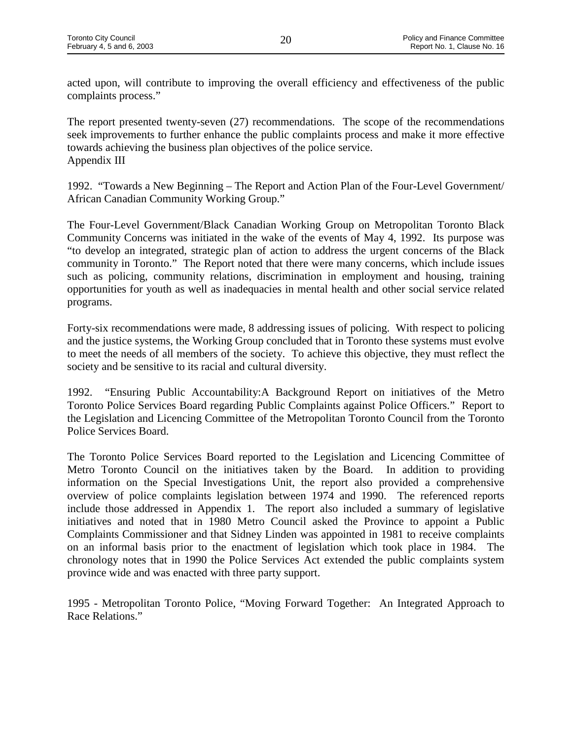acted upon, will contribute to improving the overall efficiency and effectiveness of the public complaints process."

The report presented twenty-seven (27) recommendations. The scope of the recommendations seek improvements to further enhance the public complaints process and make it more effective towards achieving the business plan objectives of the police service. Appendix III

1992. "Towards a New Beginning – The Report and Action Plan of the Four-Level Government/ African Canadian Community Working Group."

The Four-Level Government/Black Canadian Working Group on Metropolitan Toronto Black Community Concerns was initiated in the wake of the events of May 4, 1992. Its purpose was "to develop an integrated, strategic plan of action to address the urgent concerns of the Black community in Toronto." The Report noted that there were many concerns, which include issues such as policing, community relations, discrimination in employment and housing, training opportunities for youth as well as inadequacies in mental health and other social service related programs.

Forty-six recommendations were made, 8 addressing issues of policing. With respect to policing and the justice systems, the Working Group concluded that in Toronto these systems must evolve to meet the needs of all members of the society. To achieve this objective, they must reflect the society and be sensitive to its racial and cultural diversity.

1992. "Ensuring Public Accountability:A Background Report on initiatives of the Metro Toronto Police Services Board regarding Public Complaints against Police Officers." Report to the Legislation and Licencing Committee of the Metropolitan Toronto Council from the Toronto Police Services Board.

The Toronto Police Services Board reported to the Legislation and Licencing Committee of Metro Toronto Council on the initiatives taken by the Board. In addition to providing information on the Special Investigations Unit, the report also provided a comprehensive overview of police complaints legislation between 1974 and 1990. The referenced reports include those addressed in Appendix 1. The report also included a summary of legislative initiatives and noted that in 1980 Metro Council asked the Province to appoint a Public Complaints Commissioner and that Sidney Linden was appointed in 1981 to receive complaints on an informal basis prior to the enactment of legislation which took place in 1984. The chronology notes that in 1990 the Police Services Act extended the public complaints system province wide and was enacted with three party support.

1995 - Metropolitan Toronto Police, "Moving Forward Together: An Integrated Approach to Race Relations."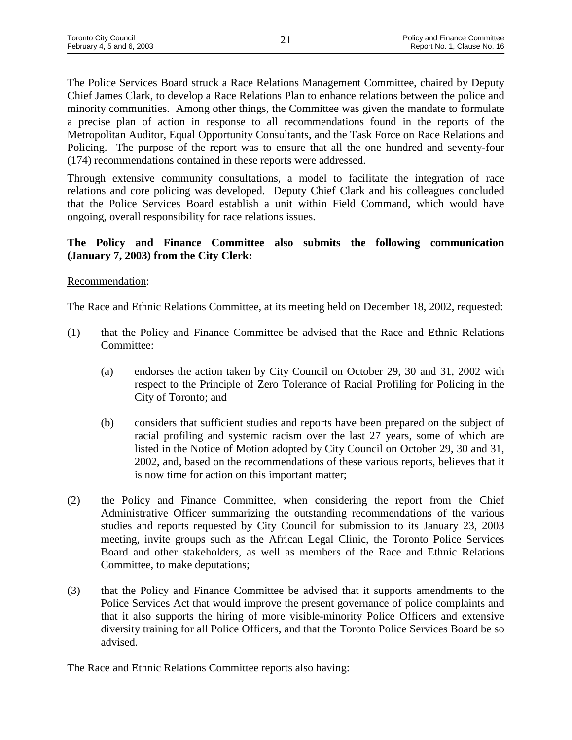The Police Services Board struck a Race Relations Management Committee, chaired by Deputy Chief James Clark, to develop a Race Relations Plan to enhance relations between the police and minority communities. Among other things, the Committee was given the mandate to formulate a precise plan of action in response to all recommendations found in the reports of the Metropolitan Auditor, Equal Opportunity Consultants, and the Task Force on Race Relations and Policing. The purpose of the report was to ensure that all the one hundred and seventy-four (174) recommendations contained in these reports were addressed.

Through extensive community consultations, a model to facilitate the integration of race relations and core policing was developed. Deputy Chief Clark and his colleagues concluded that the Police Services Board establish a unit within Field Command, which would have ongoing, overall responsibility for race relations issues.

# **The Policy and Finance Committee also submits the following communication (January 7, 2003) from the City Clerk:**

# Recommendation:

The Race and Ethnic Relations Committee, at its meeting held on December 18, 2002, requested:

- (1) that the Policy and Finance Committee be advised that the Race and Ethnic Relations Committee:
	- (a) endorses the action taken by City Council on October 29, 30 and 31, 2002 with respect to the Principle of Zero Tolerance of Racial Profiling for Policing in the City of Toronto; and
	- (b) considers that sufficient studies and reports have been prepared on the subject of racial profiling and systemic racism over the last 27 years, some of which are listed in the Notice of Motion adopted by City Council on October 29, 30 and 31, 2002, and, based on the recommendations of these various reports, believes that it is now time for action on this important matter;
- (2) the Policy and Finance Committee, when considering the report from the Chief Administrative Officer summarizing the outstanding recommendations of the various studies and reports requested by City Council for submission to its January 23, 2003 meeting, invite groups such as the African Legal Clinic, the Toronto Police Services Board and other stakeholders, as well as members of the Race and Ethnic Relations Committee, to make deputations;
- (3) that the Policy and Finance Committee be advised that it supports amendments to the Police Services Act that would improve the present governance of police complaints and that it also supports the hiring of more visible-minority Police Officers and extensive diversity training for all Police Officers, and that the Toronto Police Services Board be so advised.

The Race and Ethnic Relations Committee reports also having: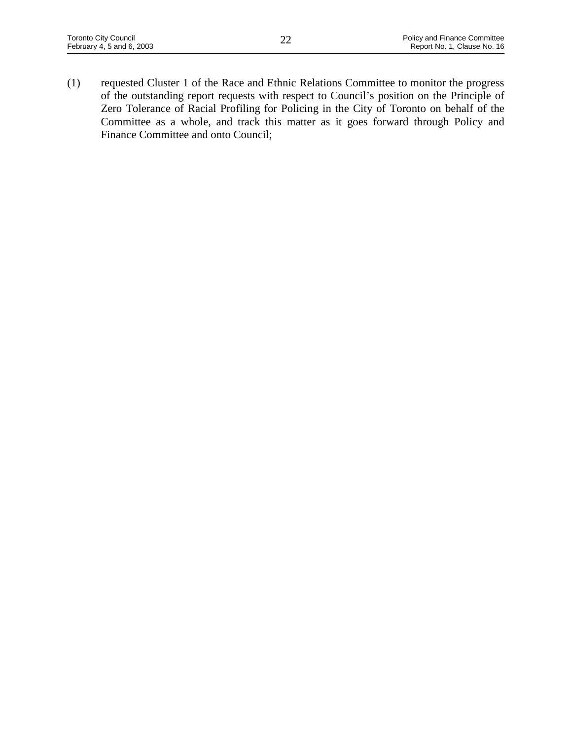(1) requested Cluster 1 of the Race and Ethnic Relations Committee to monitor the progress of the outstanding report requests with respect to Council's position on the Principle of Zero Tolerance of Racial Profiling for Policing in the City of Toronto on behalf of the Committee as a whole, and track this matter as it goes forward through Policy and Finance Committee and onto Council;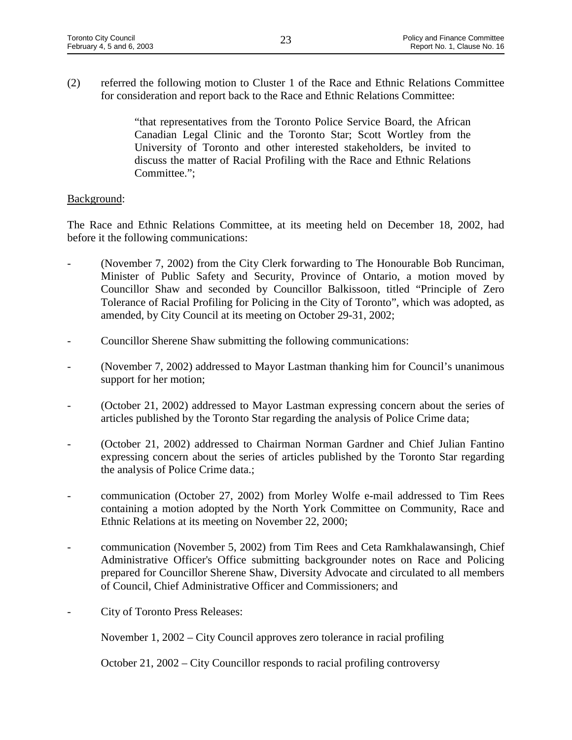(2) referred the following motion to Cluster 1 of the Race and Ethnic Relations Committee for consideration and report back to the Race and Ethnic Relations Committee:

> "that representatives from the Toronto Police Service Board, the African Canadian Legal Clinic and the Toronto Star; Scott Wortley from the University of Toronto and other interested stakeholders, be invited to discuss the matter of Racial Profiling with the Race and Ethnic Relations Committee.";

# Background:

The Race and Ethnic Relations Committee, at its meeting held on December 18, 2002, had before it the following communications:

- (November 7, 2002) from the City Clerk forwarding to The Honourable Bob Runciman, Minister of Public Safety and Security, Province of Ontario, a motion moved by Councillor Shaw and seconded by Councillor Balkissoon, titled "Principle of Zero Tolerance of Racial Profiling for Policing in the City of Toronto", which was adopted, as amended, by City Council at its meeting on October 29-31, 2002;
- Councillor Sherene Shaw submitting the following communications:
- (November 7, 2002) addressed to Mayor Lastman thanking him for Council's unanimous support for her motion;
- (October 21, 2002) addressed to Mayor Lastman expressing concern about the series of articles published by the Toronto Star regarding the analysis of Police Crime data;
- (October 21, 2002) addressed to Chairman Norman Gardner and Chief Julian Fantino expressing concern about the series of articles published by the Toronto Star regarding the analysis of Police Crime data.;
- communication (October 27, 2002) from Morley Wolfe e-mail addressed to Tim Rees containing a motion adopted by the North York Committee on Community, Race and Ethnic Relations at its meeting on November 22, 2000;
- communication (November 5, 2002) from Tim Rees and Ceta Ramkhalawansingh, Chief Administrative Officer's Office submitting backgrounder notes on Race and Policing prepared for Councillor Sherene Shaw, Diversity Advocate and circulated to all members of Council, Chief Administrative Officer and Commissioners; and
- City of Toronto Press Releases:

November 1, 2002 – City Council approves zero tolerance in racial profiling

October 21, 2002 – City Councillor responds to racial profiling controversy